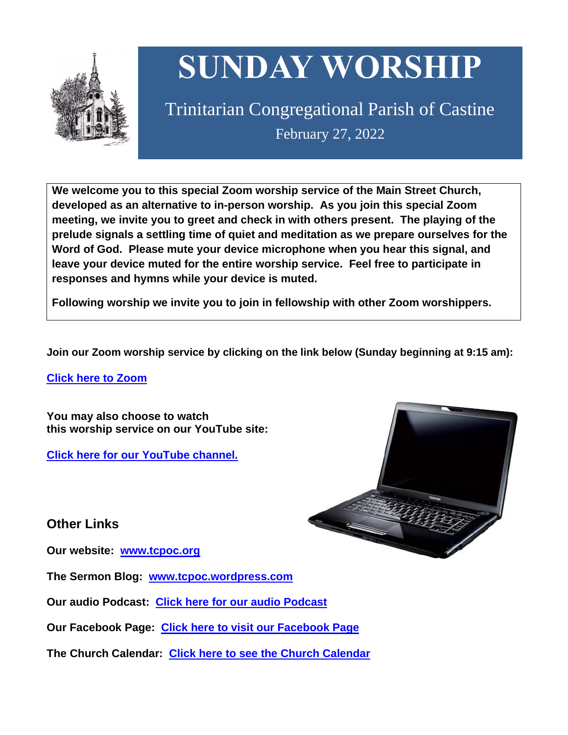

# **SUNDAY WORSHIP**

Trinitarian Congregational Parish of Castine February 27, 2022

**We welcome you to this special Zoom worship service of the Main Street Church, developed as an alternative to in-person worship. As you join this special Zoom meeting, we invite you to greet and check in with others present. The playing of the prelude signals a settling time of quiet and meditation as we prepare ourselves for the Word of God. Please mute your device microphone when you hear this signal, and leave your device muted for the entire worship service. Feel free to participate in responses and hymns while your device is muted.**

**Following worship we invite you to join in fellowship with other Zoom worshippers.**

**Join our Zoom worship service by clicking on the link below (Sunday beginning at 9:15 am):**

**Click here to [Zoom](https://us02web.zoom.us/j/89573448511?pwd=MFRuSFBJR2NWL015RzlyZ1UycmROQT09)**

**You may also choose to watch this worship service on our YouTube site:**

**Click here for our [YouTube](https://www.youtube.com/channel/UC4Bu-O6pN-bdPOqVNg0fBxA) channel.**



**Other Links**

**Our website: [www.tcpoc.org](http://www.tcpoc.org/)**

**The Sermon Blog: [www.tcpoc.wordpress.com](http://www.tcpoc.wordpress.com/)**

**Our audio Podcast: Click here for our audio [Podcast](https://podpoint.com/trinitarian-congregational-parish-of-castine-podcast)**

**Our Facebook Page: Click here to visit our [Facebook](https://www.facebook.com/tcpoc) Page**

**The Church Calendar: Click here to see the Church [Calendar](http://www.tcpoc.org/calendar.html)**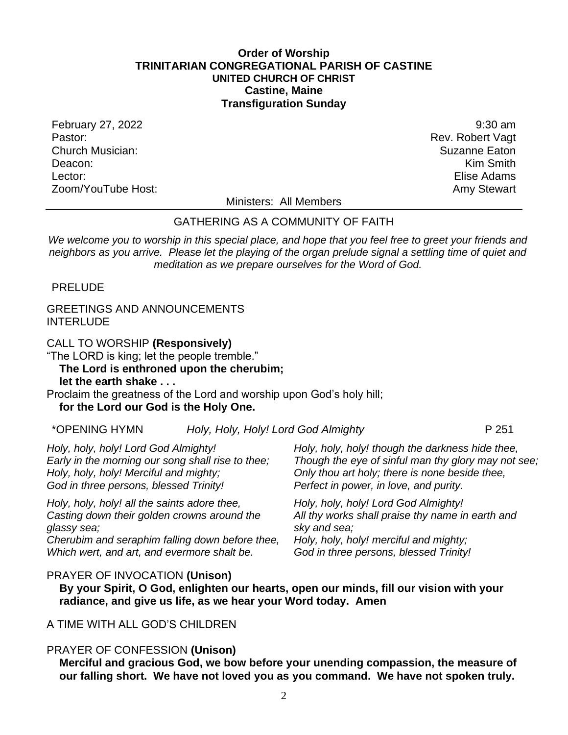#### **Order of Worship TRINITARIAN CONGREGATIONAL PARISH OF CASTINE UNITED CHURCH OF CHRIST Castine, Maine Transfiguration Sunday**

February 27, 2022 9:30 am Pastor: Rev. Robert Vagt Church Musician: Suzanne Eaton Deacon: **Kim Smith** Lector: Elise Adams Zoom/YouTube Host: Amy Stewart Communication and Amy Stewart

Ministers: All Members

#### GATHERING AS A COMMUNITY OF FAITH

We welcome you to worship in this special place, and hope that you feel free to greet your friends and *neighbors as you arrive. Please let the playing of the organ prelude signal a settling time of quiet and meditation as we prepare ourselves for the Word of God.*

PRELUDE

#### GREETINGS AND ANNOUNCEMENTS INTERLUDE

CALL TO WORSHIP **(Responsively)**

"The LORD is king; let the people tremble."

## **The Lord is enthroned upon the cherubim;**

**let the earth shake . . .**

Proclaim the greatness of the Lord and worship upon God's holy hill; **for the Lord our God is the Holy One.**

| *OPENING HYMN | Holy, Holy, Holy! Lord God Almighty | P 251 |
|---------------|-------------------------------------|-------|
|---------------|-------------------------------------|-------|

*Holy, holy, holy! Lord God Almighty! Early in the morning our song shall rise to thee; Holy, holy, holy! Merciful and mighty; God in three persons, blessed Trinity!*

*Holy, holy, holy! all the saints adore thee, Casting down their golden crowns around the glassy sea; Cherubim and seraphim falling down before thee, Which wert, and art, and evermore shalt be.*

*Holy, holy, holy! though the darkness hide thee, Though the eye of sinful man thy glory may not see; Only thou art holy; there is none beside thee, Perfect in power, in love, and purity.*

*Holy, holy, holy! Lord God Almighty! All thy works shall praise thy name in earth and sky and sea; Holy, holy, holy! merciful and mighty; God in three persons, blessed Trinity!*

#### PRAYER OF INVOCATION **(Unison)**

**By your Spirit, O God, enlighten our hearts, open our minds, fill our vision with your radiance, and give us life, as we hear your Word today. Amen**

#### A TIME WITH ALL GOD'S CHILDREN

#### PRAYER OF CONFESSION **(Unison)**

**Merciful and gracious God, we bow before your unending compassion, the measure of our falling short. We have not loved you as you command. We have not spoken truly.**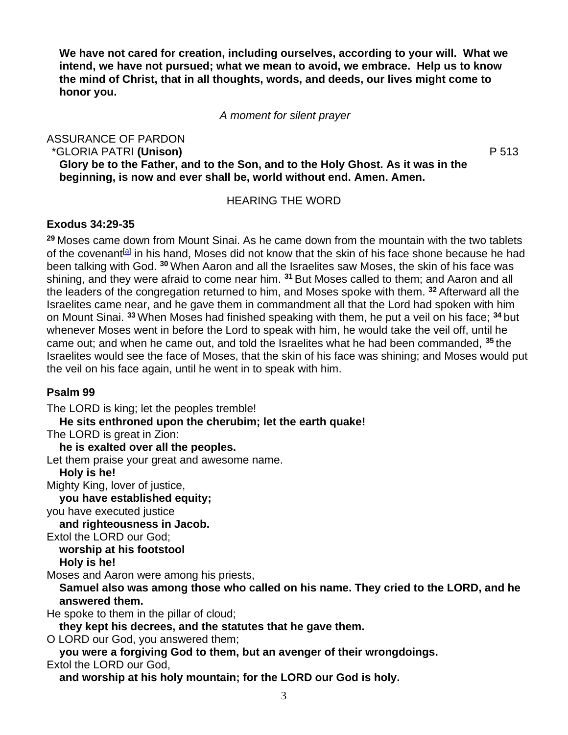**We have not cared for creation, including ourselves, according to your will. What we intend, we have not pursued; what we mean to avoid, we embrace. Help us to know the mind of Christ, that in all thoughts, words, and deeds, our lives might come to honor you.**

*A moment for silent prayer*

ASSURANCE OF PARDON

\*GLORIA PATRI **(Unison)** P 513

**Glory be to the Father, and to the Son, and to the Holy Ghost. As it was in the beginning, is now and ever shall be, world without end. Amen. Amen.**

#### HEARING THE WORD

### **Exodus 34:29-35**

**<sup>29</sup>** Moses came down from Mount Sinai. As he came down from the mountain with the two tablets of the covenant<sup>[\[a\]](https://www.biblegateway.com/passage/?search=Exodus+34%3A29-35&version=NRSV#fen-NRSV-2526a)</sup> in his hand, Moses did not know that the skin of his face shone because he had been talking with God. **<sup>30</sup>** When Aaron and all the Israelites saw Moses, the skin of his face was shining, and they were afraid to come near him. **<sup>31</sup>** But Moses called to them; and Aaron and all the leaders of the congregation returned to him, and Moses spoke with them. **<sup>32</sup>** Afterward all the Israelites came near, and he gave them in commandment all that the Lord had spoken with him on Mount Sinai. **<sup>33</sup>** When Moses had finished speaking with them, he put a veil on his face; **<sup>34</sup>** but whenever Moses went in before the Lord to speak with him, he would take the veil off, until he came out; and when he came out, and told the Israelites what he had been commanded, **<sup>35</sup>** the Israelites would see the face of Moses, that the skin of his face was shining; and Moses would put the veil on his face again, until he went in to speak with him.

### **Psalm 99**

The LORD is king; let the peoples tremble! **He sits enthroned upon the cherubim; let the earth quake!** The LORD is great in Zion: **he is exalted over all the peoples.** Let them praise your great and awesome name. **Holy is he!** Mighty King, lover of justice, **you have established equity;** you have executed justice **and righteousness in Jacob.** Extol the LORD our God; **worship at his footstool Holy is he!** Moses and Aaron were among his priests, **Samuel also was among those who called on his name. They cried to the LORD, and he answered them.** He spoke to them in the pillar of cloud; **they kept his decrees, and the statutes that he gave them.** O LORD our God, you answered them; **you were a forgiving God to them, but an avenger of their wrongdoings.** Extol the LORD our God, **and worship at his holy mountain; for the LORD our God is holy.**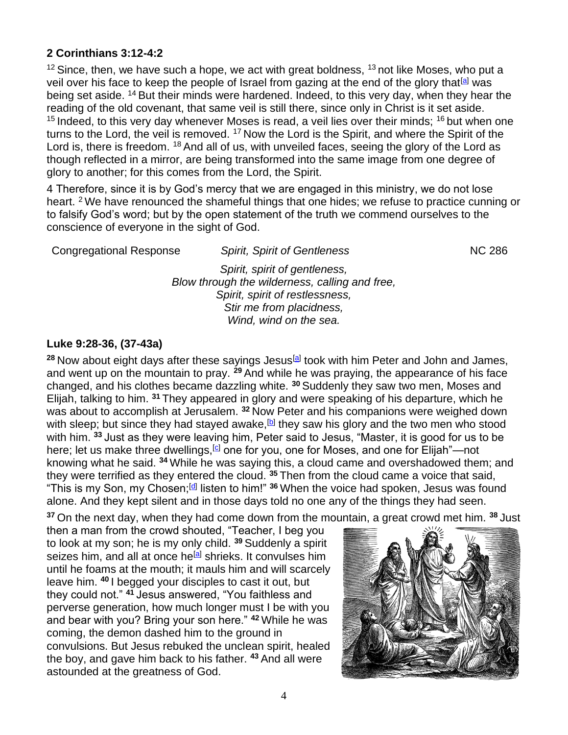### **2 Corinthians 3:12-4:2**

 $12$  Since, then, we have such a hope, we act with great boldness,  $13$  not like Moses, who put a veil over his face to keep the people of Israel from gazing at the end of the glory that <sup>[\[a\]](https://www.biblegateway.com/passage/?search=2+Corinthians+3%3A12-4%3A2&version=NRSV#fen-NRSV-28839a)</sup> was being set aside. <sup>14</sup> But their minds were hardened. Indeed, to this very day, when they hear the reading of the old covenant, that same veil is still there, since only in Christ is it set aside.  $15$  Indeed, to this very day whenever Moses is read, a veil lies over their minds;  $16$  but when one turns to the Lord, the veil is removed. <sup>17</sup> Now the Lord is the Spirit, and where the Spirit of the Lord is, there is freedom. <sup>18</sup> And all of us, with unveiled faces, seeing the glory of the Lord as though reflected in a mirror, are being transformed into the same image from one degree of glory to another; for this comes from the Lord, the Spirit.

4 Therefore, since it is by God's mercy that we are engaged in this ministry, we do not lose heart. <sup>2</sup> We have renounced the shameful things that one hides; we refuse to practice cunning or to falsify God's word; but by the open statement of the truth we commend ourselves to the conscience of everyone in the sight of God.

| <b>Spirit, Spirit of Gentleness</b>            | <b>NC 286</b> |  |
|------------------------------------------------|---------------|--|
| Spirit, spirit of gentleness,                  |               |  |
| Blow through the wilderness, calling and free, |               |  |
| Spirit, spirit of restlessness,                |               |  |
| Stir me from placidness,                       |               |  |
| Wind, wind on the sea.                         |               |  |
|                                                |               |  |

#### **Luke 9:28-36, (37-43a)**

<sup>28</sup> Now about eight days after these sayings Jesus<sup>[\[a\]](https://www.biblegateway.com/passage/?search=Luke+9%3A28-36%2C+%2837-43a%29&version=NRSV#fen-NRSV-25322a)</sup> took with him Peter and John and James, and went up on the mountain to pray. **<sup>29</sup>** And while he was praying, the appearance of his face changed, and his clothes became dazzling white. **<sup>30</sup>** Suddenly they saw two men, Moses and Elijah, talking to him. **<sup>31</sup>** They appeared in glory and were speaking of his departure, which he was about to accomplish at Jerusalem. **<sup>32</sup>** Now Peter and his companions were weighed down with sleep; but since they had stayed awake,<sup>[\[b\]](https://www.biblegateway.com/passage/?search=Luke+9%3A28-36%2C+%2837-43a%29&version=NRSV#fen-NRSV-25326b)</sup> they saw his glory and the two men who stood with him. **<sup>33</sup>** Just as they were leaving him, Peter said to Jesus, "Master, it is good for us to be here; let us make three dwellings,<sup>[\[c\]](https://www.biblegateway.com/passage/?search=Luke+9%3A28-36%2C+%2837-43a%29&version=NRSV#fen-NRSV-25327c)</sup> one for you, one for Moses, and one for Elijah"—not knowing what he said. **<sup>34</sup>** While he was saying this, a cloud came and overshadowed them; and they were terrified as they entered the cloud. **<sup>35</sup>** Then from the cloud came a voice that said, "This is my Son, my Chosen;<sup>[\[d\]](https://www.biblegateway.com/passage/?search=Luke+9%3A28-36%2C+%2837-43a%29&version=NRSV#fen-NRSV-25329d)</sup> listen to him!" <sup>36</sup> When the voice had spoken, Jesus was found alone. And they kept silent and in those days told no one any of the things they had seen.

**<sup>37</sup>** On the next day, when they had come down from the mountain, a great crowd met him. **<sup>38</sup>** Just

then a man from the crowd shouted, "Teacher, I beg you to look at my son; he is my only child. **<sup>39</sup>** Suddenly a spirit seizes him, and all at once he<sup>[\[a\]](https://www.biblegateway.com/passage/?search=Luke+9%3A37-43&version=NRSV#fen-NRSV-25333a)</sup> shrieks. It convulses him until he foams at the mouth; it mauls him and will scarcely leave him. **<sup>40</sup>** I begged your disciples to cast it out, but they could not." **<sup>41</sup>** Jesus answered, "You faithless and perverse generation, how much longer must I be with you and bear with you? Bring your son here." **<sup>42</sup>** While he was coming, the demon dashed him to the ground in convulsions. But Jesus rebuked the unclean spirit, healed the boy, and gave him back to his father. **<sup>43</sup>** And all were astounded at the greatness of God.

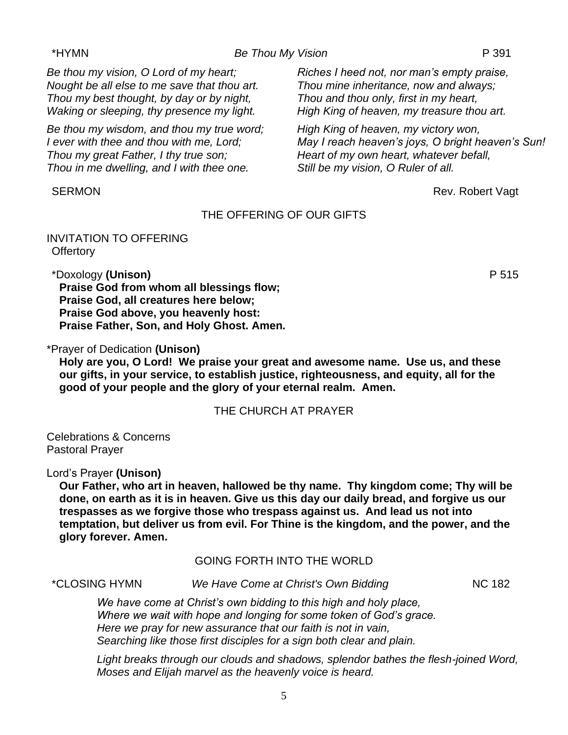#### \*HYMN *Be Thou My Vision* P 391

*Be thou my vision, O Lord of my heart; Nought be all else to me save that thou art. Thou my best thought, by day or by night, Waking or sleeping, thy presence my light.*

*Be thou my wisdom, and thou my true word; I ever with thee and thou with me, Lord; Thou my great Father, I thy true son; Thou in me dwelling, and I with thee one.*

*Riches I heed not, nor man's empty praise, Thou mine inheritance, now and always; Thou and thou only, first in my heart, High King of heaven, my treasure thou art.*

*High King of heaven, my victory won, May I reach heaven's joys, O bright heaven's Sun! Heart of my own heart, whatever befall, Still be my vision, O Ruler of all.*

SERMON Rev. Robert Vagt

#### THE OFFERING OF OUR GIFTS

INVITATION TO OFFERING **Offertory** 

\*Doxology **(Unison)** P 515

**Praise God from whom all blessings flow; Praise God, all creatures here below; Praise God above, you heavenly host: Praise Father, Son, and Holy Ghost. Amen.**

\*Prayer of Dedication **(Unison)**

**Holy are you, O Lord! We praise your great and awesome name. Use us, and these our gifts, in your service, to establish justice, righteousness, and equity, all for the good of your people and the glory of your eternal realm. Amen.**

#### THE CHURCH AT PRAYER

Celebrations & Concerns Pastoral Prayer

Lord's Prayer **(Unison)**

**Our Father, who art in heaven, hallowed be thy name. Thy kingdom come; Thy will be done, on earth as it is in heaven. Give us this day our daily bread, and forgive us our trespasses as we forgive those who trespass against us. And lead us not into temptation, but deliver us from evil. For Thine is the kingdom, and the power, and the glory forever. Amen.**

### GOING FORTH INTO THE WORLD

\*CLOSING HYMN *We Have Come at Christ's Own Bidding* NC 182

*We have come at Christ's own bidding to this high and holy place, Where we wait with hope and longing for some token of God's grace. Here we pray for new assurance that our faith is not in vain, Searching like those first disciples for a sign both clear and plain.*

*Light breaks through our clouds and shadows, splendor bathes the flesh-joined Word, Moses and Elijah marvel as the heavenly voice is heard.*